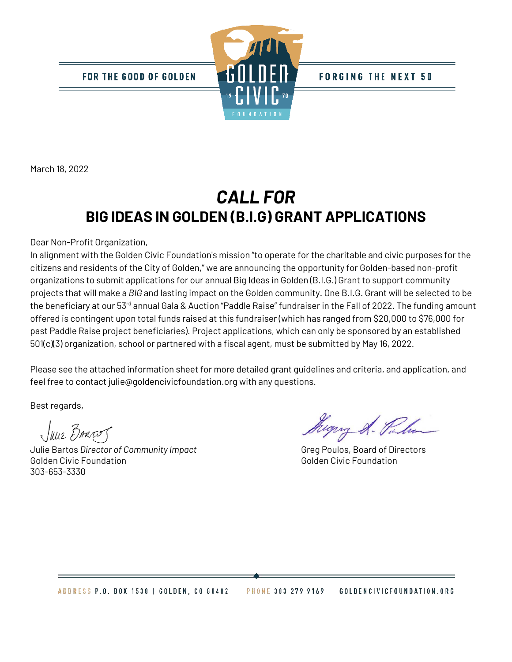

**FORGING THE NEXT 50** 

March 18, 2022

## *CALL FOR*  **BIG IDEAS IN GOLDEN (B.I.G) GRANT APPLICATIONS**

Dear Non-Profit Organization,

In alignment with the Golden Civic Foundation's mission "to operate for the charitable and civic purposes for the citizens and residents of the City of Golden," we are announcing the opportunity for Golden-based non-profit organizations to submit applications for our annual Big Ideas in Golden (B.I.G.) Grant to support community projects that will make a *BIG* and lasting impact on the Golden community. One B.I.G. Grant will be selected to be the beneficiary at our 53<sup>rd</sup> annual Gala & Auction "Paddle Raise" fundraiser in the Fall of 2022. The funding amount offered is contingent upon total funds raised at this fundraiser (which has ranged from \$20,000 to \$76,000 for past Paddle Raise project beneficiaries). Project applications, which can only be sponsored by an established 501(c)(3) organization, school or partnered with a fiscal agent, must be submitted by May 16, 2022.

Please see the attached information sheet for more detailed grant guidelines and criteria, and application, and feel free to contact julie@goldencivicfoundation.org with any questions.

Best regards,

JULIE BARTUT

Julie Bartos *Director of Community Impact* **Greeg Poulos, Board of Directors** Golden Civic Foundation Golden Civic Foundation 303-653-3330

ugung & Pulu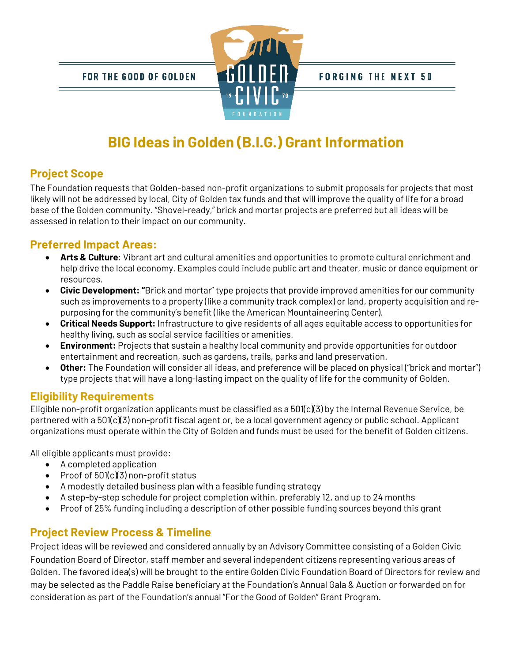

**FORGING THE NEXT 50** 

## **BIG Ideas in Golden (B.I.G.) Grant Information**

## **Project Scope**

The Foundation requests that Golden-based non-profit organizations to submit proposals for projects that most likely will not be addressed by local, City of Golden tax funds and that will improve the quality of life for a broad base of the Golden community. "Shovel-ready," brick and mortar projects are preferred but all ideas will be assessed in relation to their impact on our community.

## **Preferred Impact Areas:**

- **Arts & Culture**: Vibrant art and cultural amenities and opportunities to promote cultural enrichment and help drive the local economy. Examples could include public art and theater, music or dance equipment or resources.
- **Civic Development: "**Brick and mortar" type projects that provide improved amenities for our community such as improvements to a property (like a community track complex) or land, property acquisition and repurposing for the community's benefit (like the American Mountaineering Center).
- **Critical Needs Support:** Infrastructure to give residents of all ages equitable access to opportunities for healthy living, such as social service facilities or amenities.
- **Environment:** Projects that sustain a healthy local community and provide opportunities for outdoor entertainment and recreation, such as gardens, trails, parks and land preservation.
- **Other:** The Foundation will consider all ideas, and preference will be placed on physical ("brick and mortar") type projects that will have a long-lasting impact on the quality of life for the community of Golden.

### **Eligibility Requirements**

Eligible non-profit organization applicants must be classified as a  $501(c)(3)$  by the Internal Revenue Service, be partnered with a 501(c)(3) non-profit fiscal agent or, be a local government agency or public school. Applicant organizations must operate within the City of Golden and funds must be used for the benefit of Golden citizens.

All eligible applicants must provide:

- A completed application
- Proof of 501(c)(3) non-profit status
- A modestly detailed business plan with a feasible funding strategy
- A step-by-step schedule for project completion within, preferably 12, and up to 24 months
- Proof of 25% funding including a description of other possible funding sources beyond this grant

## **Project Review Process & Timeline**

Project ideas will be reviewed and considered annually by an Advisory Committee consisting of a Golden Civic Foundation Board of Director, staff member and several independent citizens representing various areas of Golden. The favored idea(s) will be brought to the entire Golden Civic Foundation Board of Directors for review and may be selected as the Paddle Raise beneficiary at the Foundation's Annual Gala & Auction or forwarded on for consideration as part of the Foundation's annual "For the Good of Golden" Grant Program.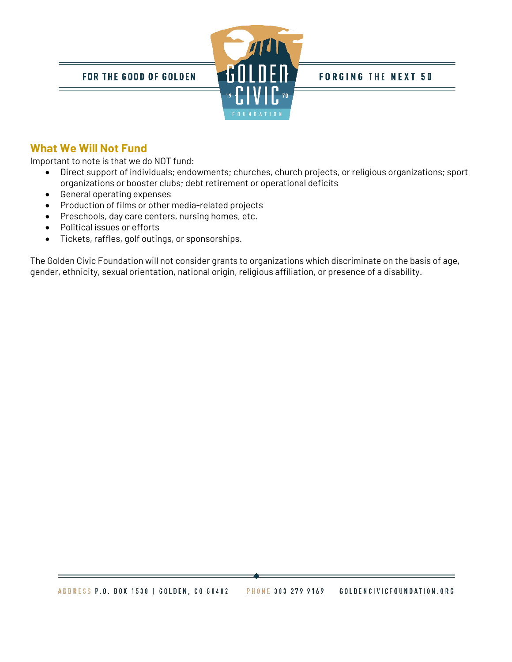

#### **FORGING THE NEXT 50**

### **What We Will Not Fund**

Important to note is that we do NOT fund:

- Direct support of individuals; endowments; churches, church projects, or religious organizations; sport organizations or booster clubs; debt retirement or operational deficits
- General operating expenses
- Production of films or other media-related projects
- Preschools, day care centers, nursing homes, etc.
- Political issues or efforts
- Tickets, raffles, golf outings, or sponsorships.

The Golden Civic Foundation will not consider grants to organizations which discriminate on the basis of age, gender, ethnicity, sexual orientation, national origin, religious affiliation, or presence of a disability.